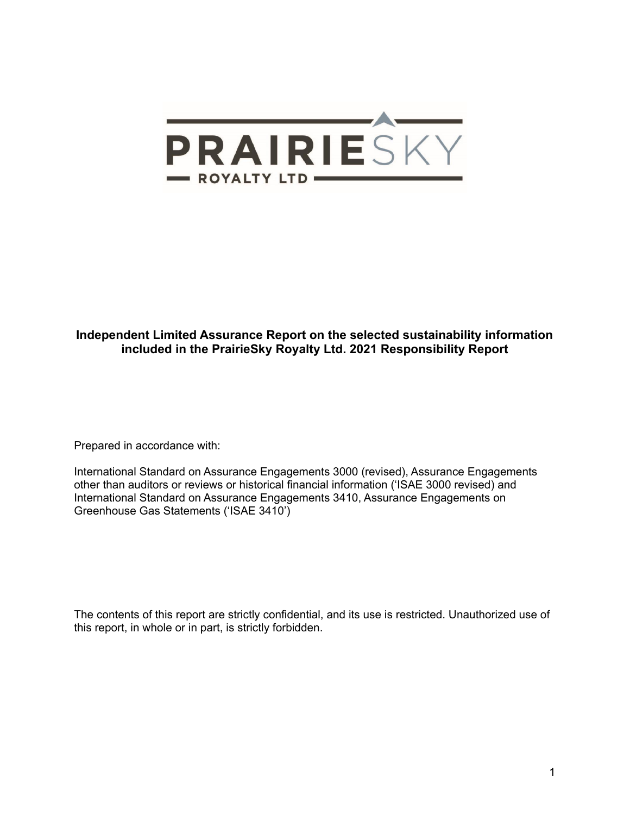

## **Independent Limited Assurance Report on the selected sustainability information included in the PrairieSky Royalty Ltd. 2021 Responsibility Report**

Prepared in accordance with:

International Standard on Assurance Engagements 3000 (revised), Assurance Engagements other than auditors or reviews or historical financial information ('ISAE 3000 revised) and International Standard on Assurance Engagements 3410, Assurance Engagements on Greenhouse Gas Statements ('ISAE 3410')

The contents of this report are strictly confidential, and its use is restricted. Unauthorized use of this report, in whole or in part, is strictly forbidden.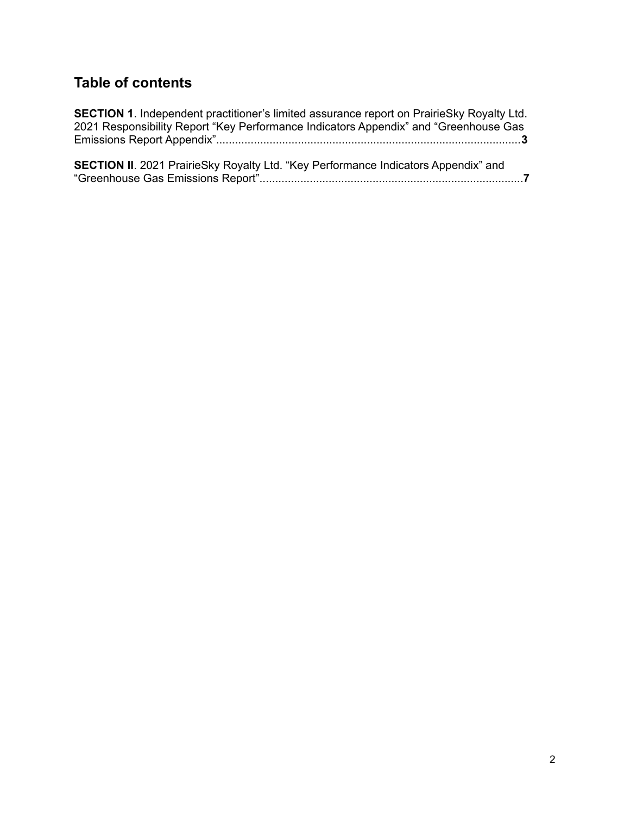# **Table of contents**

| <b>SECTION 1.</b> Independent practitioner's limited assurance report on PrairieSky Royalty Ltd. |
|--------------------------------------------------------------------------------------------------|
| 2021 Responsibility Report "Key Performance Indicators Appendix" and "Greenhouse Gas             |
|                                                                                                  |
|                                                                                                  |
| <b>SECTION II.</b> 2021 PrairieSky Royalty Ltd. "Key Performance Indicators Appendix" and        |
|                                                                                                  |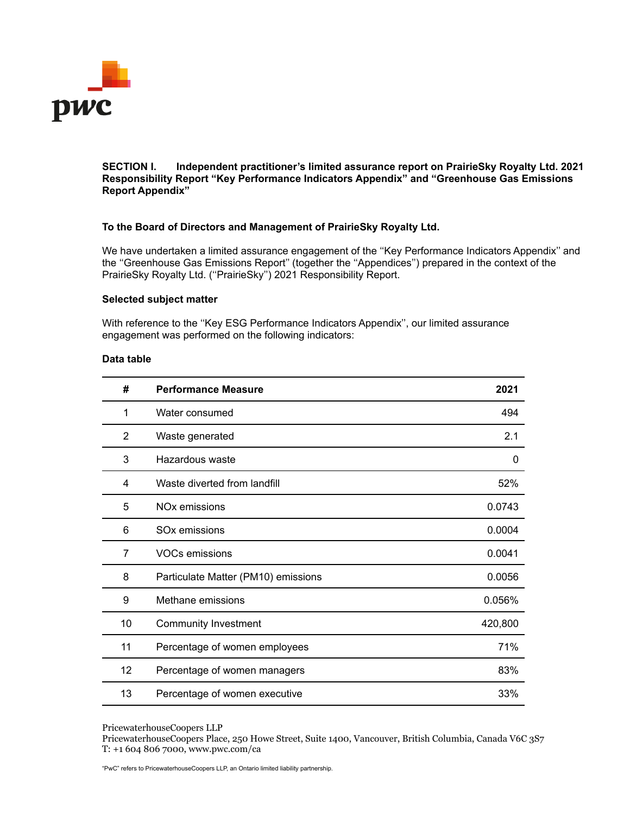

**SECTION I. Independent practitioner's limited assurance report on PrairieSky Royalty Ltd. 2021 Responsibility Report "Key Performance Indicators Appendix" and "Greenhouse Gas Emissions Report Appendix"**

## **To the Board of Directors and Management of PrairieSky Royalty Ltd.**

We have undertaken a limited assurance engagement of the "Key Performance Indicators Appendix" and the ''Greenhouse Gas Emissions Report'' (together the ''Appendices'') prepared in the context of the PrairieSky Royalty Ltd. (''PrairieSky'') 2021 Responsibility Report.

## **Selected subject matter**

With reference to the ''Key ESG Performance Indicators Appendix'', our limited assurance engagement was performed on the following indicators:

## **Data table**

| #              | <b>Performance Measure</b>          | 2021    |
|----------------|-------------------------------------|---------|
| 1              | Water consumed                      | 494     |
| $\overline{2}$ | Waste generated                     | 2.1     |
| 3              | Hazardous waste                     | 0       |
| 4              | Waste diverted from landfill        | 52%     |
| 5              | NO <sub>x</sub> emissions           | 0.0743  |
| 6              | SO <sub>x</sub> emissions           | 0.0004  |
| 7              | VOCs emissions                      | 0.0041  |
| 8              | Particulate Matter (PM10) emissions | 0.0056  |
| 9              | Methane emissions                   | 0.056%  |
| 10             | Community Investment                | 420,800 |
| 11             | Percentage of women employees       | 71%     |
| 12             | Percentage of women managers        | 83%     |
| 13             | Percentage of women executive       | 33%     |

PricewaterhouseCoopers LLP

PricewaterhouseCoopers Place, 250 Howe Street, Suite 1400, Vancouver, British Columbia, Canada V6C 3S7 T: +1 604 806 7000, www.pwc.com/ca

"PwC" refers to PricewaterhouseCoopers LLP, an Ontario limited liability partnership.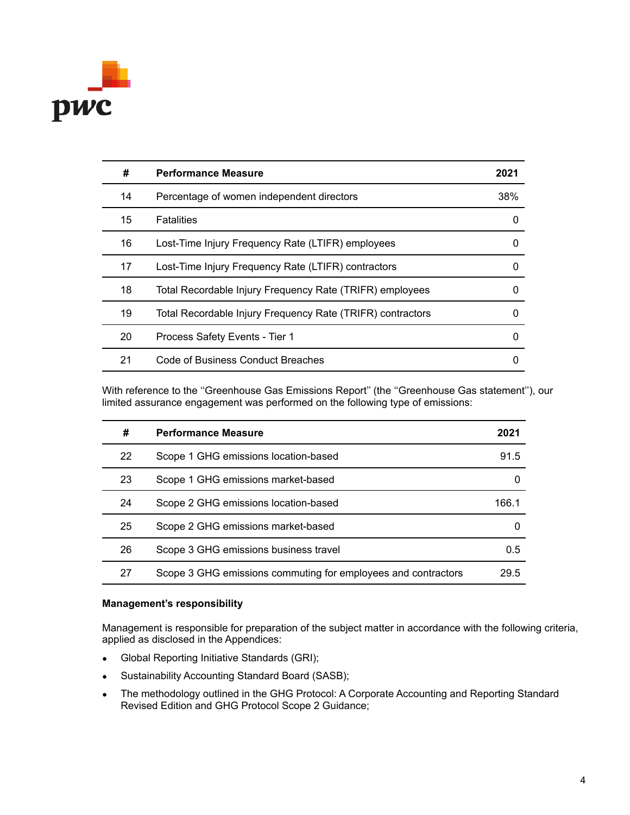

| #  | <b>Performance Measure</b>                                 | 2021     |
|----|------------------------------------------------------------|----------|
| 14 | Percentage of women independent directors                  | 38%      |
| 15 | <b>Fatalities</b>                                          | 0        |
| 16 | Lost-Time Injury Frequency Rate (LTIFR) employees          | 0        |
| 17 | Lost-Time Injury Frequency Rate (LTIFR) contractors        | 0        |
| 18 | Total Recordable Injury Frequency Rate (TRIFR) employees   | 0        |
| 19 | Total Recordable Injury Frequency Rate (TRIFR) contractors | 0        |
| 20 | Process Safety Events - Tier 1                             | $\Omega$ |
| 21 | Code of Business Conduct Breaches                          | 0        |

With reference to the ''Greenhouse Gas Emissions Report'' (the ''Greenhouse Gas statement''), our limited assurance engagement was performed on the following type of emissions:

| #  | <b>Performance Measure</b>                                    | 2021  |
|----|---------------------------------------------------------------|-------|
| 22 | Scope 1 GHG emissions location-based                          | 91.5  |
| 23 | Scope 1 GHG emissions market-based                            |       |
| 24 | Scope 2 GHG emissions location-based                          | 166.1 |
| 25 | Scope 2 GHG emissions market-based                            |       |
| 26 | Scope 3 GHG emissions business travel                         | 0.5   |
| 27 | Scope 3 GHG emissions commuting for employees and contractors | 29.5  |

## **Management's responsibility**

Management is responsible for preparation of the subject matter in accordance with the following criteria, applied as disclosed in the Appendices:

- Global Reporting Initiative Standards (GRI);
- Sustainability Accounting Standard Board (SASB);
- The methodology outlined in the GHG Protocol: A Corporate Accounting and Reporting Standard Revised Edition and GHG Protocol Scope 2 Guidance;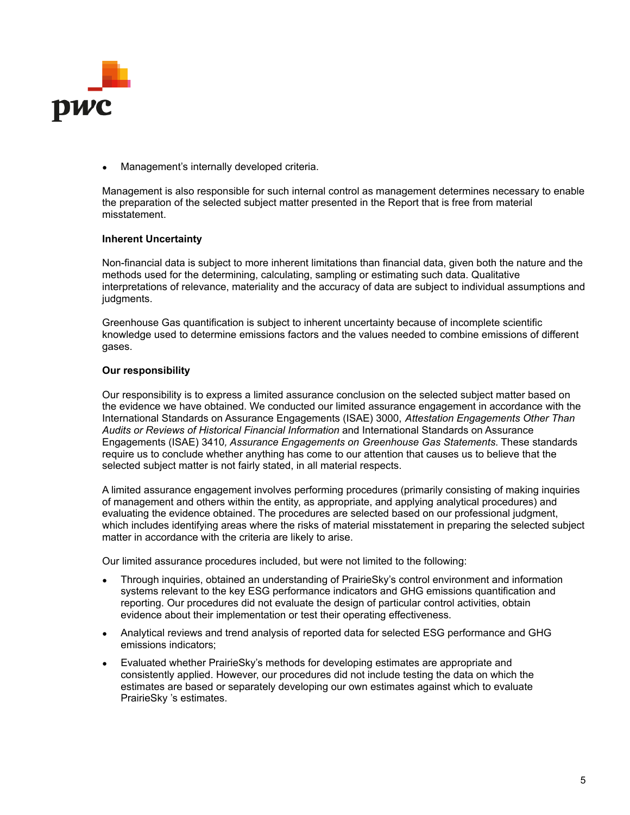

Management's internally developed criteria.

Management is also responsible for such internal control as management determines necessary to enable the preparation of the selected subject matter presented in the Report that is free from material misstatement.

## **Inherent Uncertainty**

Non-financial data is subject to more inherent limitations than financial data, given both the nature and the methods used for the determining, calculating, sampling or estimating such data. Qualitative interpretations of relevance, materiality and the accuracy of data are subject to individual assumptions and judgments.

Greenhouse Gas quantification is subject to inherent uncertainty because of incomplete scientific knowledge used to determine emissions factors and the values needed to combine emissions of different gases.

## **Our responsibility**

Our responsibility is to express a limited assurance conclusion on the selected subject matter based on the evidence we have obtained. We conducted our limited assurance engagement in accordance with the International Standards on Assurance Engagements (ISAE) 3000, *Attestation Engagements Other Than Audits or Reviews of Historical Financial Information* and International Standards on Assurance Engagements (ISAE) 3410*, Assurance Engagements on Greenhouse Gas Statements*. These standards require us to conclude whether anything has come to our attention that causes us to believe that the selected subject matter is not fairly stated, in all material respects.

A limited assurance engagement involves performing procedures (primarily consisting of making inquiries of management and others within the entity, as appropriate, and applying analytical procedures) and evaluating the evidence obtained. The procedures are selected based on our professional judgment, which includes identifying areas where the risks of material misstatement in preparing the selected subject matter in accordance with the criteria are likely to arise.

Our limited assurance procedures included, but were not limited to the following:

- Through inquiries, obtained an understanding of PrairieSky's control environment and information systems relevant to the key ESG performance indicators and GHG emissions quantification and reporting. Our procedures did not evaluate the design of particular control activities, obtain evidence about their implementation or test their operating effectiveness.
- Analytical reviews and trend analysis of reported data for selected ESG performance and GHG emissions indicators;
- Evaluated whether PrairieSky's methods for developing estimates are appropriate and consistently applied. However, our procedures did not include testing the data on which the estimates are based or separately developing our own estimates against which to evaluate PrairieSky 's estimates.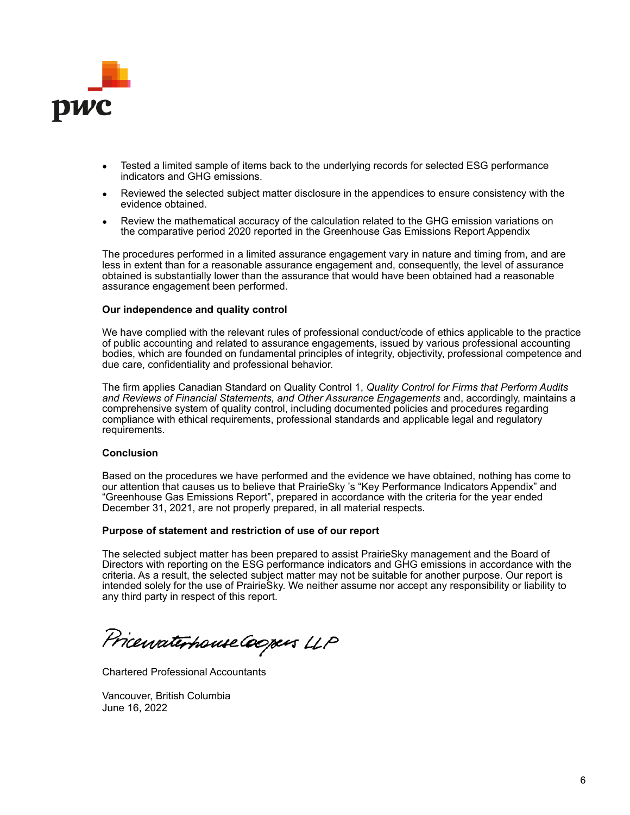

- Tested a limited sample of items back to the underlying records for selected ESG performance indicators and GHG emissions.
- Reviewed the selected subject matter disclosure in the appendices to ensure consistency with the evidence obtained.
- Review the mathematical accuracy of the calculation related to the GHG emission variations on the comparative period 2020 reported in the Greenhouse Gas Emissions Report Appendix

The procedures performed in a limited assurance engagement vary in nature and timing from, and are less in extent than for a reasonable assurance engagement and, consequently, the level of assurance obtained is substantially lower than the assurance that would have been obtained had a reasonable assurance engagement been performed.

### **Our independence and quality control**

We have complied with the relevant rules of professional conduct/code of ethics applicable to the practice of public accounting and related to assurance engagements, issued by various professional accounting bodies, which are founded on fundamental principles of integrity, objectivity, professional competence and due care, confidentiality and professional behavior.

The firm applies Canadian Standard on Quality Control 1, *Quality Control for Firms that Perform Audits and Reviews of Financial Statements, and Other Assurance Engagements* and, accordingly, maintains a comprehensive system of quality control, including documented policies and procedures regarding compliance with ethical requirements, professional standards and applicable legal and regulatory requirements.

## **Conclusion**

Based on the procedures we have performed and the evidence we have obtained, nothing has come to our attention that causes us to believe that PrairieSky 's "Key Performance Indicators Appendix" and "Greenhouse Gas Emissions Report", prepared in accordance with the criteria for the year ended December 31, 2021, are not properly prepared, in all material respects.

### **Purpose of statement and restriction of use of our report**

The selected subject matter has been prepared to assist PrairieSky management and the Board of Directors with reporting on the ESG performance indicators and GHG emissions in accordance with the criteria. As a result, the selected subject matter may not be suitable for another purpose. Our report is intended solely for the use of PrairieSky. We neither assume nor accept any responsibility or liability to any third party in respect of this report.

Pricewaterhouse Coopers LLP

Chartered Professional Accountants

Vancouver, British Columbia June 16, 2022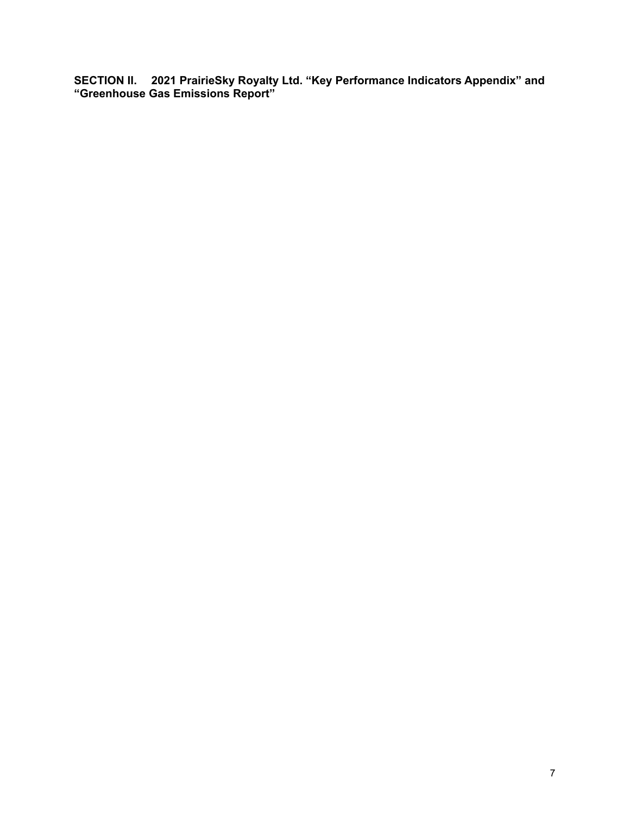**SECTION II. 2021 PrairieSky Royalty Ltd. "Key Performance Indicators Appendix" and "Greenhouse Gas Emissions Report"**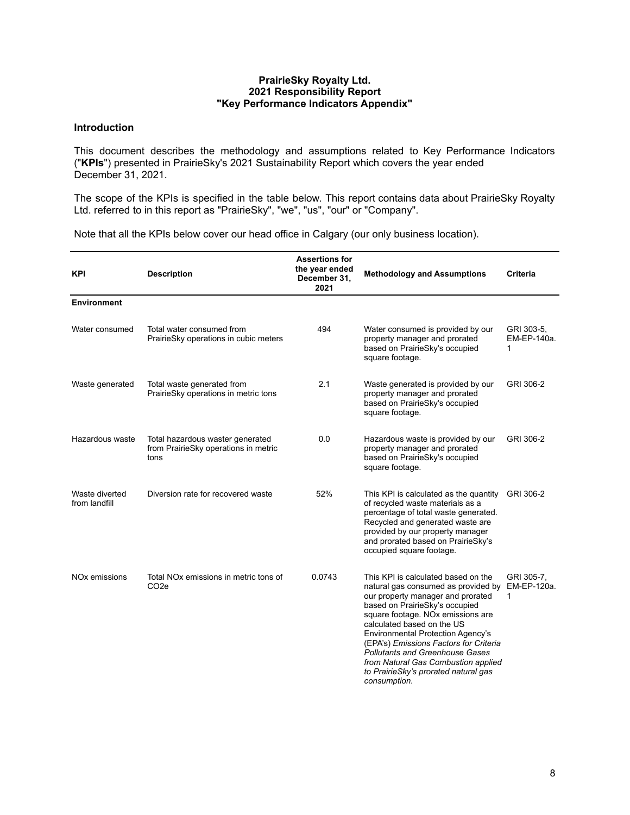## **PrairieSky Royalty Ltd. 2021 Responsibility Report "Key Performance Indicators Appendix"**

## **Introduction**

This document describes the methodology and assumptions related to Key Performance Indicators ("**KPIs**") presented in PrairieSky's 2021 Sustainability Report which covers the year ended December 31, 2021.

The scope of the KPIs is specified in the table below. This report contains data about PrairieSky Royalty Ltd. referred to in this report as "PrairieSky", "we", "us", "our" or "Company".

Note that all the KPIs below cover our head office in Calgary (our only business location).

| <b>KPI</b>                      | <b>Description</b>                                                               | <b>Assertions for</b><br>the year ended<br>December 31,<br>2021 | <b>Methodology and Assumptions</b>                                                                                                                                                                                                                                                                                                                                                                                                                                          | <b>Criteria</b>                |
|---------------------------------|----------------------------------------------------------------------------------|-----------------------------------------------------------------|-----------------------------------------------------------------------------------------------------------------------------------------------------------------------------------------------------------------------------------------------------------------------------------------------------------------------------------------------------------------------------------------------------------------------------------------------------------------------------|--------------------------------|
| <b>Environment</b>              |                                                                                  |                                                                 |                                                                                                                                                                                                                                                                                                                                                                                                                                                                             |                                |
| Water consumed                  | Total water consumed from<br>PrairieSky operations in cubic meters               | 494                                                             | Water consumed is provided by our<br>property manager and prorated<br>based on PrairieSky's occupied<br>square footage.                                                                                                                                                                                                                                                                                                                                                     | GRI 303-5,<br>EM-EP-140a.<br>1 |
| Waste generated                 | Total waste generated from<br>PrairieSky operations in metric tons               | 2.1                                                             | Waste generated is provided by our<br>property manager and prorated<br>based on PrairieSky's occupied<br>square footage.                                                                                                                                                                                                                                                                                                                                                    | GRI 306-2                      |
| Hazardous waste                 | Total hazardous waster generated<br>from PrairieSky operations in metric<br>tons | 0.0                                                             | Hazardous waste is provided by our<br>property manager and prorated<br>based on PrairieSky's occupied<br>square footage.                                                                                                                                                                                                                                                                                                                                                    | GRI 306-2                      |
| Waste diverted<br>from landfill | Diversion rate for recovered waste                                               | 52%                                                             | This KPI is calculated as the quantity<br>of recycled waste materials as a<br>percentage of total waste generated.<br>Recycled and generated waste are<br>provided by our property manager<br>and prorated based on PrairieSky's<br>occupied square footage.                                                                                                                                                                                                                | GRI 306-2                      |
| NO <sub>x</sub> emissions       | Total NO <sub>x</sub> emissions in metric tons of<br>CO <sub>2</sub> e           | 0.0743                                                          | This KPI is calculated based on the<br>natural gas consumed as provided by EM-EP-120a.<br>our property manager and prorated<br>based on PrairieSky's occupied<br>square footage. NO <sub>x</sub> emissions are<br>calculated based on the US<br><b>Environmental Protection Agency's</b><br>(EPA's) Emissions Factors for Criteria<br><b>Pollutants and Greenhouse Gases</b><br>from Natural Gas Combustion applied<br>to PrairieSky's prorated natural gas<br>consumption. | GRI 305-7.<br>1                |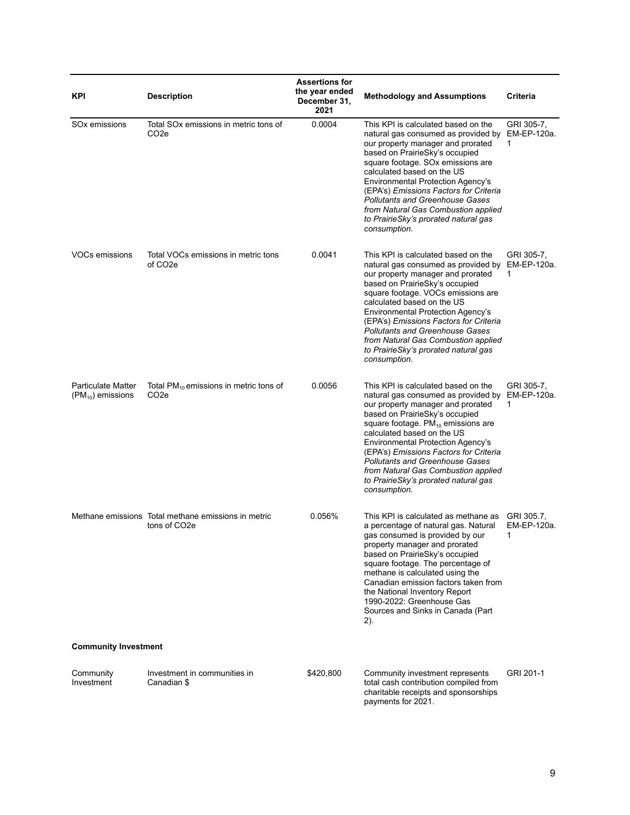| KPI                                                | <b>Description</b>                                                               | <b>Assertions for</b><br>the year ended<br>December 31,<br>2021 | <b>Methodology and Assumptions</b>                                                                                                                                                                                                                                                                                                                                                                                                                        | Criteria                       |
|----------------------------------------------------|----------------------------------------------------------------------------------|-----------------------------------------------------------------|-----------------------------------------------------------------------------------------------------------------------------------------------------------------------------------------------------------------------------------------------------------------------------------------------------------------------------------------------------------------------------------------------------------------------------------------------------------|--------------------------------|
| SO <sub>x</sub> emissions                          | Total SOx emissions in metric tons of<br>CO2e                                    | 0.0004                                                          | This KPI is calculated based on the<br>natural gas consumed as provided by<br>our property manager and prorated<br>based on PrairieSky's occupied<br>square footage. SOx emissions are<br>calculated based on the US<br><b>Environmental Protection Agency's</b><br>(EPA's) Emissions Factors for Criteria<br><b>Pollutants and Greenhouse Gases</b><br>from Natural Gas Combustion applied<br>to PrairieSky's prorated natural gas<br>consumption.       | GRI 305-7,<br>EM-EP-120a.<br>1 |
| VOCs emissions                                     | Total VOCs emissions in metric tons<br>of CO <sub>2</sub> e                      | 0.0041                                                          | This KPI is calculated based on the<br>natural gas consumed as provided by<br>our property manager and prorated<br>based on PrairieSky's occupied<br>square footage. VOCs emissions are<br>calculated based on the US<br><b>Environmental Protection Agency's</b><br>(EPA's) Emissions Factors for Criteria<br><b>Pollutants and Greenhouse Gases</b><br>from Natural Gas Combustion applied<br>to PrairieSky's prorated natural gas<br>consumption.      | GRI 305-7,<br>EM-EP-120a.<br>1 |
| <b>Particulate Matter</b><br>$(PM_{10})$ emissions | Total $PM_{10}$ emissions in metric tons of<br>CO <sub>2</sub> e                 | 0.0056                                                          | This KPI is calculated based on the<br>natural gas consumed as provided by<br>our property manager and prorated<br>based on PrairieSky's occupied<br>square footage. $PM_{10}$ emissions are<br>calculated based on the US<br><b>Environmental Protection Agency's</b><br>(EPA's) Emissions Factors for Criteria<br><b>Pollutants and Greenhouse Gases</b><br>from Natural Gas Combustion applied<br>to PrairieSky's prorated natural gas<br>consumption. | GRI 305-7,<br>EM-EP-120a.<br>1 |
|                                                    | Methane emissions Total methane emissions in metric<br>tons of CO <sub>2</sub> e | 0.056%                                                          | This KPI is calculated as methane as<br>a percentage of natural gas. Natural<br>gas consumed is provided by our<br>property manager and prorated<br>based on PrairieSky's occupied<br>square footage. The percentage of<br>methane is calculated using the<br>Canadian emission factors taken from<br>the National Inventory Report<br>1990-2022: Greenhouse Gas<br>Sources and Sinks in Canada (Part<br>2).                                              | GRI 305.7.<br>EM-EP-120a.<br>1 |
| <b>Community Investment</b>                        |                                                                                  |                                                                 |                                                                                                                                                                                                                                                                                                                                                                                                                                                           |                                |
| Community<br>Investment                            | Investment in communities in<br>Canadian \$                                      | \$420,800                                                       | Community investment represents<br>total cash contribution compiled from<br>charitable receipts and sponsorships<br>payments for 2021.                                                                                                                                                                                                                                                                                                                    | GRI 201-1                      |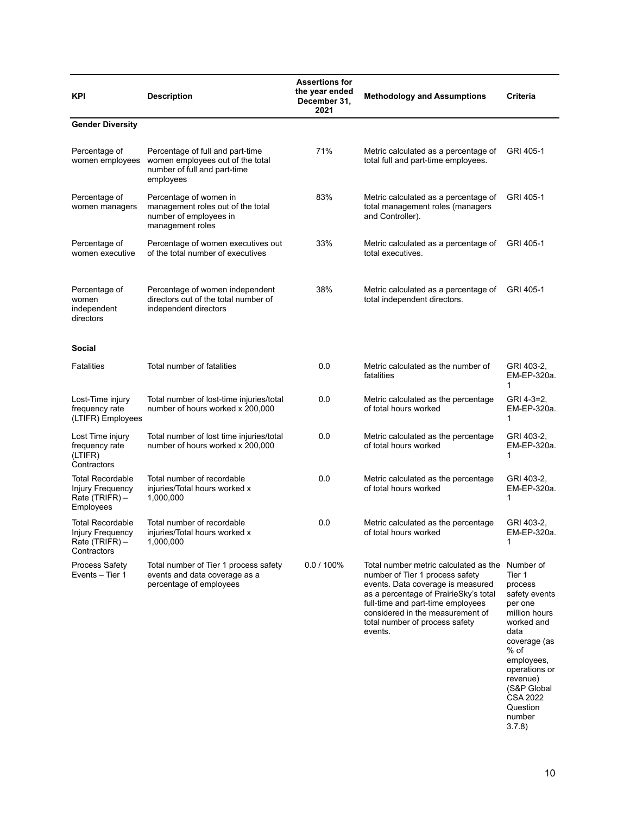| <b>Description</b><br><b>KPI</b>                                           |                                                                                                                   | <b>Assertions for</b><br>the year ended<br>December 31,<br>2021 | <b>Methodology and Assumptions</b>                                                                                                                                                                                                                                           | Criteria                                                                                                                                                                                                                     |
|----------------------------------------------------------------------------|-------------------------------------------------------------------------------------------------------------------|-----------------------------------------------------------------|------------------------------------------------------------------------------------------------------------------------------------------------------------------------------------------------------------------------------------------------------------------------------|------------------------------------------------------------------------------------------------------------------------------------------------------------------------------------------------------------------------------|
| <b>Gender Diversity</b>                                                    |                                                                                                                   |                                                                 |                                                                                                                                                                                                                                                                              |                                                                                                                                                                                                                              |
| Percentage of<br>women employees                                           | Percentage of full and part-time<br>women employees out of the total<br>number of full and part-time<br>employees | 71%                                                             | Metric calculated as a percentage of<br>total full and part-time employees.                                                                                                                                                                                                  | GRI 405-1                                                                                                                                                                                                                    |
| Percentage of<br>women managers                                            | Percentage of women in<br>management roles out of the total<br>number of employees in<br>management roles         | 83%                                                             | Metric calculated as a percentage of<br>total management roles (managers<br>and Controller).                                                                                                                                                                                 | GRI 405-1                                                                                                                                                                                                                    |
| Percentage of<br>women executive                                           | Percentage of women executives out<br>of the total number of executives                                           | 33%                                                             | Metric calculated as a percentage of<br>total executives.                                                                                                                                                                                                                    | GRI 405-1                                                                                                                                                                                                                    |
| Percentage of<br>women<br>independent<br>directors                         | Percentage of women independent<br>directors out of the total number of<br>independent directors                  | 38%                                                             | Metric calculated as a percentage of<br>total independent directors.                                                                                                                                                                                                         | GRI 405-1                                                                                                                                                                                                                    |
| Social                                                                     |                                                                                                                   |                                                                 |                                                                                                                                                                                                                                                                              |                                                                                                                                                                                                                              |
| <b>Fatalities</b>                                                          | Total number of fatalities                                                                                        | 0.0                                                             | Metric calculated as the number of<br>fatalities                                                                                                                                                                                                                             | GRI 403-2,<br>EM-EP-320a.<br>1                                                                                                                                                                                               |
| Lost-Time injury<br>frequency rate<br>(LTIFR) Employees                    | Total number of lost-time injuries/total<br>number of hours worked x 200,000                                      | 0.0                                                             | Metric calculated as the percentage<br>of total hours worked                                                                                                                                                                                                                 | GRI 4-3=2,<br>EM-EP-320a.<br>1                                                                                                                                                                                               |
| Lost Time injury<br>frequency rate<br>(LTIFR)<br>Contractors               | Total number of lost time injuries/total<br>number of hours worked x 200,000                                      | 0.0                                                             | Metric calculated as the percentage<br>of total hours worked                                                                                                                                                                                                                 | GRI 403-2,<br>EM-EP-320a.<br>1                                                                                                                                                                                               |
| <b>Total Recordable</b><br>Injury Frequency<br>Rate (TRIFR) -<br>Employees | Total number of recordable<br>injuries/Total hours worked x<br>1,000,000                                          | 0.0                                                             | Metric calculated as the percentage<br>of total hours worked                                                                                                                                                                                                                 | GRI 403-2.<br>EM-EP-320a.<br>1                                                                                                                                                                                               |
| Total Recordable<br>Injury Frequency<br>Rate (TRIFR) -<br>Contractors      | Total number of recordable<br>injuries/ Iotal hours worked x<br>1,000,000                                         | 0.0                                                             | Metric calculated as the percentage<br>of total hours worked                                                                                                                                                                                                                 | GRI 403-2,<br>∟м-∟Р-320а.<br>1                                                                                                                                                                                               |
| <b>Process Safety</b><br>Events - Tier 1                                   | Total number of Tier 1 process safety<br>events and data coverage as a<br>percentage of employees                 | $0.0 / 100\%$                                                   | Total number metric calculated as the<br>number of Tier 1 process safety<br>events. Data coverage is measured<br>as a percentage of PrairieSky's total<br>full-time and part-time employees<br>considered in the measurement of<br>total number of process safety<br>events. | Number of<br>Tier 1<br>process<br>safety events<br>per one<br>million hours<br>worked and<br>data<br>coverage (as<br>% of<br>employees,<br>operations or<br>revenue)<br>(S&P Global<br><b>CSA 2022</b><br>Question<br>number |

3.7.8)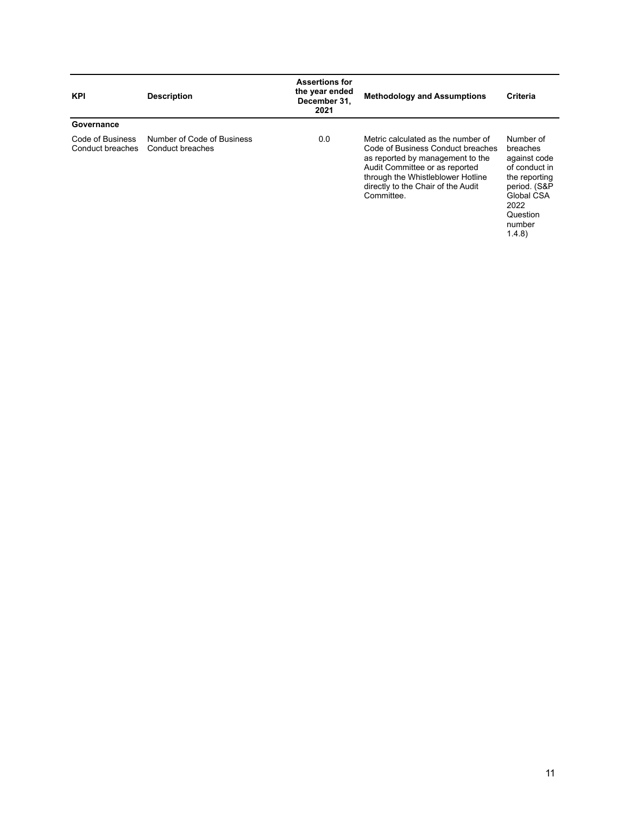| <b>KPI</b>                           | <b>Description</b>                             | <b>Assertions for</b><br>the year ended<br>December 31,<br>2021 | <b>Methodology and Assumptions</b>                                                                                                                                                                                                     | <b>Criteria</b>                                                                                                                              |
|--------------------------------------|------------------------------------------------|-----------------------------------------------------------------|----------------------------------------------------------------------------------------------------------------------------------------------------------------------------------------------------------------------------------------|----------------------------------------------------------------------------------------------------------------------------------------------|
| Governance                           |                                                |                                                                 |                                                                                                                                                                                                                                        |                                                                                                                                              |
| Code of Business<br>Conduct breaches | Number of Code of Business<br>Conduct breaches | 0.0                                                             | Metric calculated as the number of<br>Code of Business Conduct breaches<br>as reported by management to the<br>Audit Committee or as reported<br>through the Whistleblower Hotline<br>directly to the Chair of the Audit<br>Committee. | Number of<br>breaches<br>against code<br>of conduct in<br>the reporting<br>period. (S&P<br>Global CSA<br>2022<br>Question<br>number<br>1.4.8 |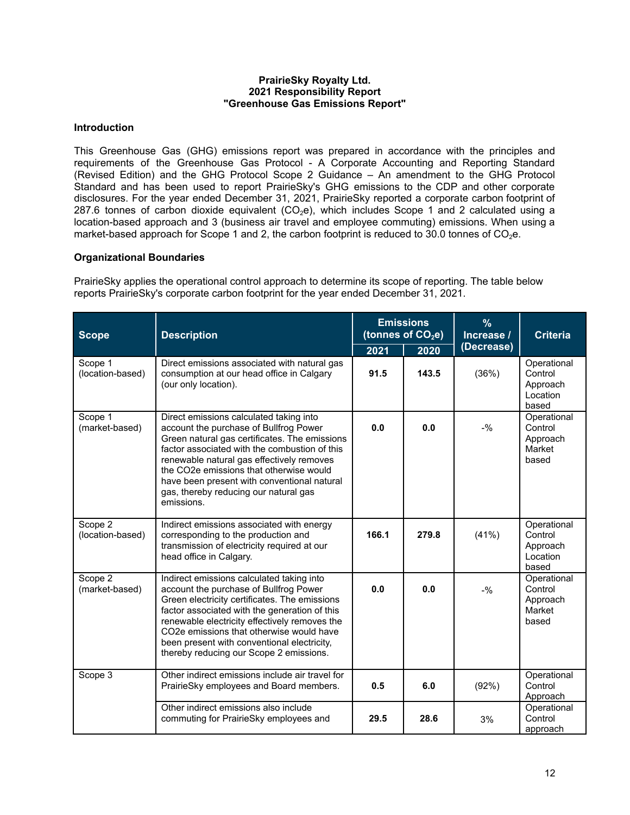## **PrairieSky Royalty Ltd. 2021 Responsibility Report "Greenhouse Gas Emissions Report"**

## **Introduction**

This Greenhouse Gas (GHG) emissions report was prepared in accordance with the principles and requirements of the Greenhouse Gas Protocol - A Corporate Accounting and Reporting Standard (Revised Edition) and the GHG Protocol Scope 2 Guidance – An amendment to the GHG Protocol Standard and has been used to report PrairieSky's GHG emissions to the CDP and other corporate disclosures. For the year ended December 31, 2021, PrairieSky reported a corporate carbon footprint of 287.6 tonnes of carbon dioxide equivalent  $(CO<sub>2</sub>e)$ , which includes Scope 1 and 2 calculated using a location-based approach and 3 (business air travel and employee commuting) emissions. When using a market-based approach for Scope 1 and 2, the carbon footprint is reduced to 30.0 tonnes of  $CO<sub>2</sub>e$ .

## **Organizational Boundaries**

PrairieSky applies the operational control approach to determine its scope of reporting. The table below reports PrairieSky's corporate carbon footprint for the year ended December 31, 2021.

| <b>Scope</b>                | <b>Description</b>                                                                                                                                                                                                                                                                                                                                                                        | <b>Emissions</b><br>(tonnes of CO <sub>2</sub> e) |                    | $\frac{9}{6}$<br>Increase / | <b>Criteria</b>                                         |
|-----------------------------|-------------------------------------------------------------------------------------------------------------------------------------------------------------------------------------------------------------------------------------------------------------------------------------------------------------------------------------------------------------------------------------------|---------------------------------------------------|--------------------|-----------------------------|---------------------------------------------------------|
|                             |                                                                                                                                                                                                                                                                                                                                                                                           | 2021                                              | (Decrease)<br>2020 |                             |                                                         |
| Scope 1<br>(location-based) | Direct emissions associated with natural gas<br>consumption at our head office in Calgary<br>(our only location).                                                                                                                                                                                                                                                                         | 91.5                                              | 143.5              | (36%)                       | Operational<br>Control<br>Approach<br>Location<br>based |
| Scope 1<br>(market-based)   | Direct emissions calculated taking into<br>account the purchase of Bullfrog Power<br>Green natural gas certificates. The emissions<br>factor associated with the combustion of this<br>renewable natural gas effectively removes<br>the CO2e emissions that otherwise would<br>have been present with conventional natural<br>gas, thereby reducing our natural gas<br>emissions.         | 0.0                                               | 0.0                | $-9/20$                     | Operational<br>Control<br>Approach<br>Market<br>based   |
| Scope 2<br>(location-based) | Indirect emissions associated with energy<br>corresponding to the production and<br>transmission of electricity required at our<br>head office in Calgary.                                                                                                                                                                                                                                | 166.1                                             | 279.8              | (41%)                       | Operational<br>Control<br>Approach<br>Location<br>based |
| Scope 2<br>(market-based)   | Indirect emissions calculated taking into<br>account the purchase of Bullfrog Power<br>Green electricity certificates. The emissions<br>factor associated with the generation of this<br>renewable electricity effectively removes the<br>CO <sub>2</sub> e emissions that otherwise would have<br>been present with conventional electricity,<br>thereby reducing our Scope 2 emissions. | 0.0                                               | 0.0                | $-9/6$                      | Operational<br>Control<br>Approach<br>Market<br>based   |
| Scope 3                     | Other indirect emissions include air travel for<br>PrairieSky employees and Board members.                                                                                                                                                                                                                                                                                                | 0.5                                               | 6.0                | (92%)                       | Operational<br>Control<br>Approach                      |
|                             | Other indirect emissions also include<br>commuting for PrairieSky employees and                                                                                                                                                                                                                                                                                                           | 29.5                                              | 28.6               | 3%                          | Operational<br>Control<br>approach                      |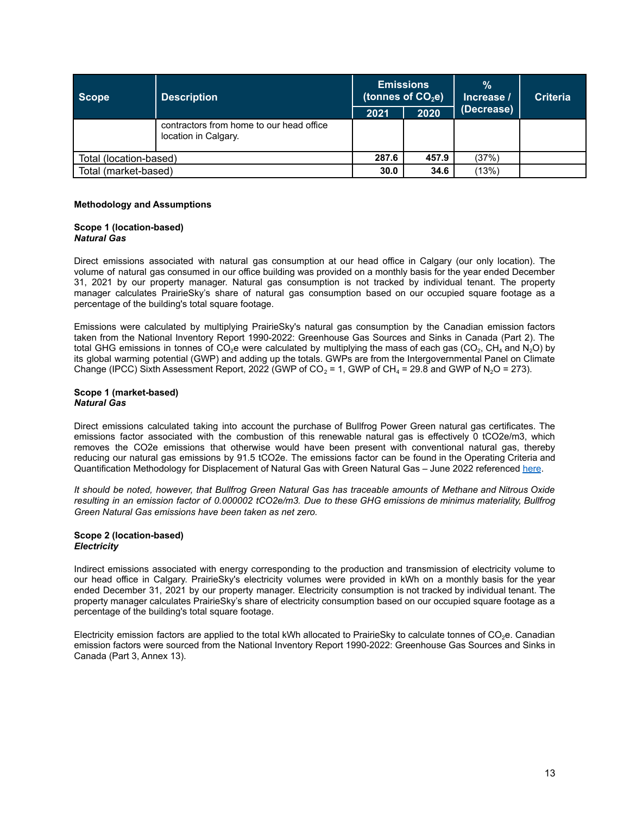| Scope                  | <b>Description</b>                                               |       | <b>Emissions</b><br>(tonnes of $CO2$ e) | $\frac{9}{6}$<br>Increase / | <b>Criteria</b> |
|------------------------|------------------------------------------------------------------|-------|-----------------------------------------|-----------------------------|-----------------|
|                        |                                                                  | 2021  | 2020                                    | (Decrease)                  |                 |
|                        | contractors from home to our head office<br>location in Calgary. |       |                                         |                             |                 |
| Total (location-based) |                                                                  | 287.6 | 457.9                                   | (37%)                       |                 |
| Total (market-based)   |                                                                  | 30.0  | 34.6                                    | (13%)                       |                 |

### **Methodology and Assumptions**

#### **Scope 1 (location-based)** *Natural Gas*

Direct emissions associated with natural gas consumption at our head office in Calgary (our only location). The volume of natural gas consumed in our office building was provided on a monthly basis for the year ended December 31, 2021 by our property manager. Natural gas consumption is not tracked by individual tenant. The property manager calculates PrairieSky's share of natural gas consumption based on our occupied square footage as a percentage of the building's total square footage.

Emissions were calculated by multiplying PrairieSky's natural gas consumption by the Canadian emission factors taken from the National Inventory Report 1990-2022: Greenhouse Gas Sources and Sinks in Canada (Part 2). The total GHG emissions in tonnes of CO<sub>2</sub>e were calculated by multiplying the mass of each gas (CO<sub>2</sub>, CH<sub>4</sub> and N<sub>2</sub>O) by its global warming potential (GWP) and adding up the totals. GWPs are from the Intergovernmental Panel on Climate Change (IPCC) Sixth Assessment Report, 2022 (GWP of CO<sub>2</sub> = 1, GWP of CH<sub>4</sub> = 29.8 and GWP of N<sub>2</sub>O = 273).

#### **Scope 1 (market-based)** *Natural Gas*

Direct emissions calculated taking into account the purchase of Bullfrog Power Green natural gas certificates. The emissions factor associated with the combustion of this renewable natural gas is effectively 0 tCO2e/m3, which removes the CO2e emissions that otherwise would have been present with conventional natural gas, thereby reducing our natural gas emissions by 91.5 tCO2e. The emissions factor can be found in the Operating Criteria and Quantification Methodology for Displacement of Natural Gas with Green Natural Gas - June 2022 referenced [here](https://bullfrogpower.com/audits/).

It should be noted, however, that Bullfrog Green Natural Gas has traceable amounts of Methane and Nitrous Oxide resulting in an emission factor of 0.000002 tCO2e/m3. Due to these GHG emissions de minimus materiality. Bullfrog *Green Natural Gas emissions have been taken as net zero.*

### **Scope 2 (location-based)** *Electricity*

Indirect emissions associated with energy corresponding to the production and transmission of electricity volume to our head office in Calgary. PrairieSky's electricity volumes were provided in kWh on a monthly basis for the year ended December 31, 2021 by our property manager. Electricity consumption is not tracked by individual tenant. The property manager calculates PrairieSky's share of electricity consumption based on our occupied square footage as a percentage of the building's total square footage.

Electricity emission factors are applied to the total kWh allocated to PrairieSky to calculate tonnes of  $CO<sub>2</sub>e$ . Canadian emission factors were sourced from the National Inventory Report 1990-2022: Greenhouse Gas Sources and Sinks in Canada (Part 3, Annex 13).